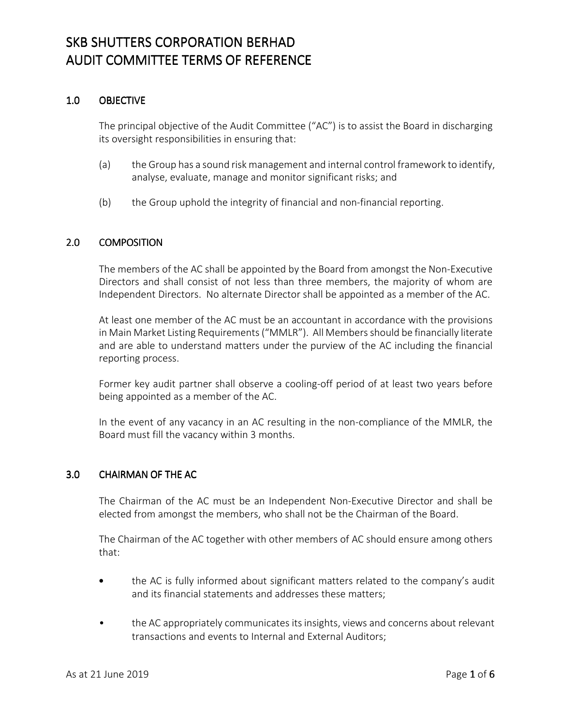### 1.0 OBJECTIVE

The principal objective of the Audit Committee ("AC") is to assist the Board in discharging its oversight responsibilities in ensuring that:

- (a) the Group has a sound risk management and internal control framework to identify, analyse, evaluate, manage and monitor significant risks; and
- (b) the Group uphold the integrity of financial and non-financial reporting.

### 2.0 COMPOSITION COMPOSITION

The members of the AC shall be appointed by the Board from amongst the Non-Executive Directors and shall consist of not less than three members, the majority of whom are Independent Directors. No alternate Director shall be appointed as a member of the AC.

At least one member of the AC must be an accountant in accordance with the provisions in Main Market Listing Requirements ("MMLR"). All Members should be financially literate and are able to understand matters under the purview of the AC including the financial reporting process.

Former key audit partner shall observe a cooling-off period of at least two years before being appointed as a member of the AC.

In the event of any vacancy in an AC resulting in the non-compliance of the MMLR, the Board must fill the vacancy within 3 months.

#### 3.0 CHAIRMAN OF THE AC

The Chairman of the AC must be an Independent Non-Executive Director and shall be elected from amongst the members, who shall not be the Chairman of the Board.

The Chairman of the AC together with other members of AC should ensure among others that:

- the AC is fully informed about significant matters related to the company's audit and its financial statements and addresses these matters;
- the AC appropriately communicates its insights, views and concerns about relevant transactions and events to Internal and External Auditors;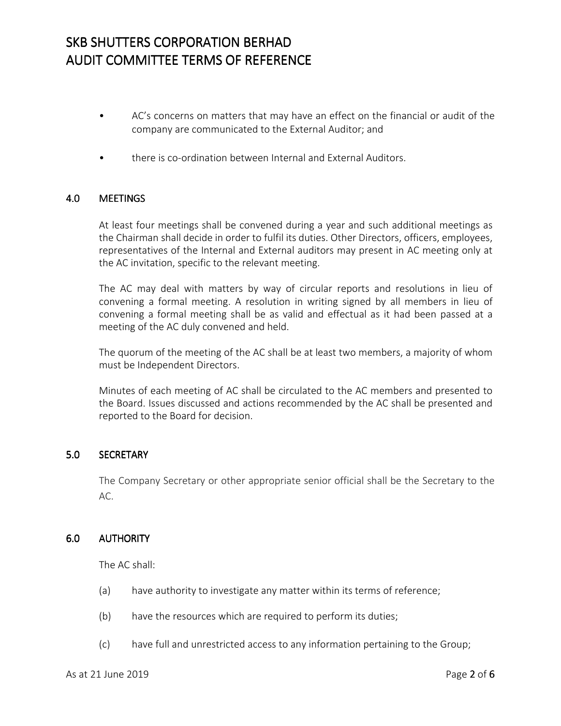- AC's concerns on matters that may have an effect on the financial or audit of the company are communicated to the External Auditor; and
- there is co-ordination between Internal and External Auditors.

#### 4.0 MEETINGS

At least four meetings shall be convened during a year and such additional meetings as the Chairman shall decide in order to fulfil its duties. Other Directors, officers, employees, representatives of the Internal and External auditors may present in AC meeting only at the AC invitation, specific to the relevant meeting.

The AC may deal with matters by way of circular reports and resolutions in lieu of convening a formal meeting. A resolution in writing signed by all members in lieu of convening a formal meeting shall be as valid and effectual as it had been passed at a meeting of the AC duly convened and held.

The quorum of the meeting of the AC shall be at least two members, a majority of whom must be Independent Directors.

Minutes of each meeting of AC shall be circulated to the AC members and presented to the Board. Issues discussed and actions recommended by the AC shall be presented and reported to the Board for decision.

### 5.0 SECRETARY

The Company Secretary or other appropriate senior official shall be the Secretary to the AC.

### 6.0 AUTHORITY

The AC shall:

- (a) have authority to investigate any matter within its terms of reference;
- (b) have the resources which are required to perform its duties;
- (c) have full and unrestricted access to any information pertaining to the Group;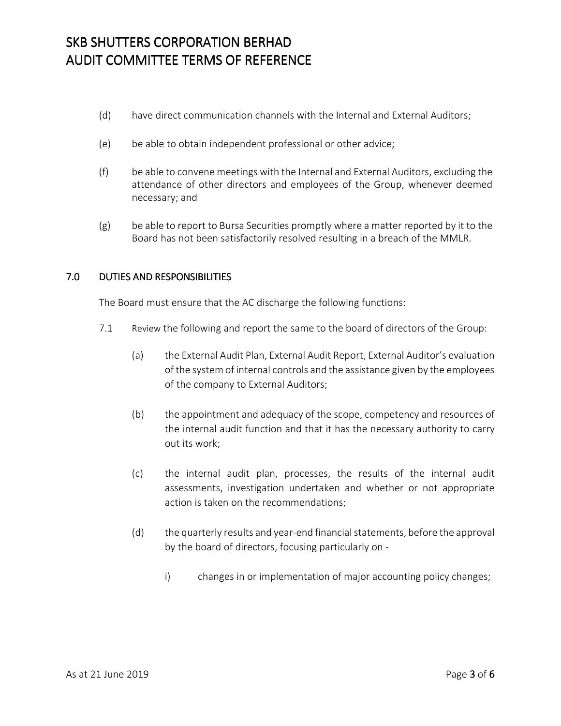- (d) have direct communication channels with the Internal and External Auditors;
- (e) be able to obtain independent professional or other advice;
- (f) be able to convene meetings with the Internal and External Auditors, excluding the attendance of other directors and employees of the Group, whenever deemed necessary; and
- (g) be able to report to Bursa Securities promptly where a matter reported by it to the Board has not been satisfactorily resolved resulting in a breach of the MMLR.

### 7.0 DUTIES AND RESPONSIBILITIES

The Board must ensure that the AC discharge the following functions:

- 7.1 Review the following and report the same to the board of directors of the Group:
	- (a) the External Audit Plan, External Audit Report, External Auditor's evaluation of the system of internal controls and the assistance given by the employees of the company to External Auditors;
	- (b) the appointment and adequacy of the scope, competency and resources of the internal audit function and that it has the necessary authority to carry out its work;
	- (c) the internal audit plan, processes, the results of the internal audit assessments, investigation undertaken and whether or not appropriate action is taken on the recommendations;
	- (d) the quarterly results and year-end financial statements, before the approval by the board of directors, focusing particularly on
		- i) changes in or implementation of major accounting policy changes;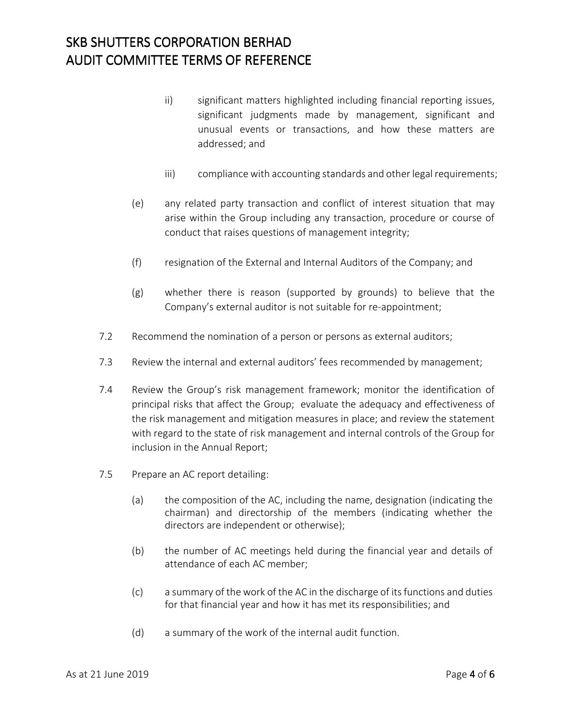- ii) significant matters highlighted including financial reporting issues, significant judgments made by management, significant and unusual events or transactions, and how these matters are addressed; and
- iii) compliance with accounting standards and other legal requirements;
- (e) any related party transaction and conflict of interest situation that may arise within the Group including any transaction, procedure or course of conduct that raises questions of management integrity;
- (f) resignation of the External and Internal Auditors of the Company; and
- (g) whether there is reason (supported by grounds) to believe that the Company's external auditor is not suitable for re-appointment;
- 7.2 Recommend the nomination of a person or persons as external auditors;
- 7.3 Review the internal and external auditors' fees recommended by management;
- 7.4 Review the Group's risk management framework; monitor the identification of principal risks that affect the Group; evaluate the adequacy and effectiveness of the risk management and mitigation measures in place; and review the statement with regard to the state of risk management and internal controls of the Group for inclusion in the Annual Report;
- 7.5 Prepare an AC report detailing:
	- (a) the composition of the AC, including the name, designation (indicating the chairman) and directorship of the members (indicating whether the directors are independent or otherwise);
	- (b) the number of AC meetings held during the financial year and details of attendance of each AC member;
	- (c) a summary of the work of the AC in the discharge of its functions and duties for that financial year and how it has met its responsibilities; and
	- (d) a summary of the work of the internal audit function.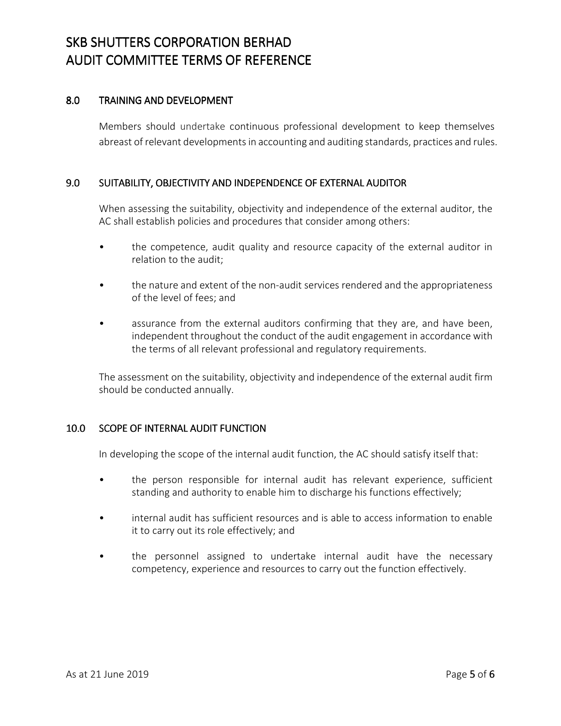#### 8.0 TRAINING AND DEVELOPMENT

Members should undertake continuous professional development to keep themselves abreast of relevant developments in accounting and auditing standards, practices and rules.

#### 9.0 SUITABILITY, OBJECTIVITY AND INDEPENDENCE OF EXTERNAL AUDITOR

When assessing the suitability, objectivity and independence of the external auditor, the AC shall establish policies and procedures that consider among others:

- the competence, audit quality and resource capacity of the external auditor in relation to the audit;
- the nature and extent of the non-audit services rendered and the appropriateness of the level of fees; and
- assurance from the external auditors confirming that they are, and have been, independent throughout the conduct of the audit engagement in accordance with the terms of all relevant professional and regulatory requirements.

The assessment on the suitability, objectivity and independence of the external audit firm should be conducted annually.

#### 10.0 SCOPE OF INTERNAL AUDIT FUNCTION

In developing the scope of the internal audit function, the AC should satisfy itself that:

- the person responsible for internal audit has relevant experience, sufficient standing and authority to enable him to discharge his functions effectively;
- internal audit has sufficient resources and is able to access information to enable it to carry out its role effectively; and
- the personnel assigned to undertake internal audit have the necessary competency, experience and resources to carry out the function effectively.